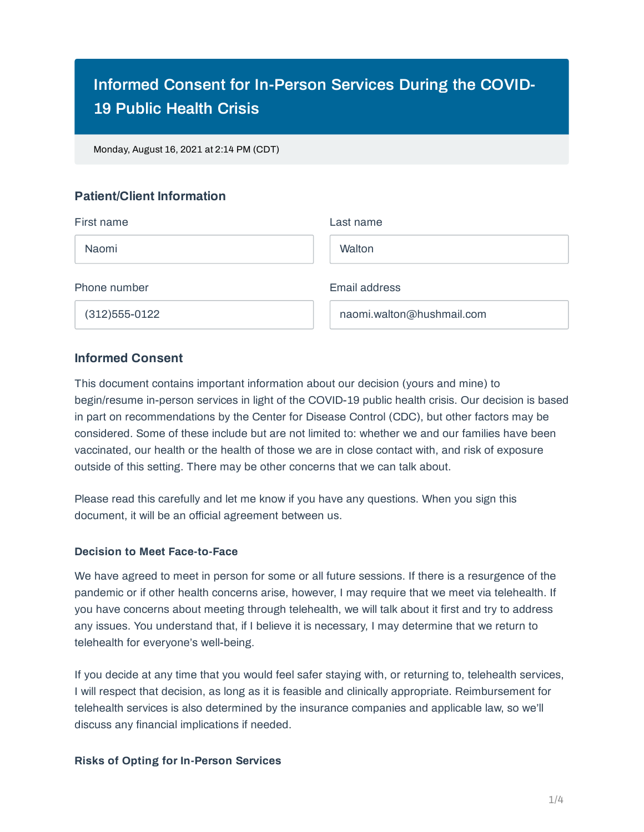# **Informed Consent for In-Person Services During the COVID-19 Public Health Crisis**

Monday, August 16, 2021 at 2:14 PM (CDT)

# **Patient/Client Information**

| First name      | Last name                 |
|-----------------|---------------------------|
| Naomi           | Walton                    |
| Phone number    | Email address             |
| $(312)555-0122$ | naomi.walton@hushmail.com |

# **Informed Consent**

This document contains important information about our decision (yours and mine) to begin/resume in-person services in light of the COVID-19 public health crisis. Our decision is based in part on recommendations by the Center for Disease Control (CDC), but other factors may be considered. Some of these include but are not limited to: whether we and our families have been vaccinated, our health or the health of those we are in close contact with, and risk of exposure outside of this setting. There may be other concerns that we can talk about.

Please read this carefully and let me know if you have any questions. When you sign this document, it will be an official agreement between us.

# **Decision to Meet Face-to-Face**

We have agreed to meet in person for some or all future sessions. If there is a resurgence of the pandemic or if other health concerns arise, however, I may require that we meet via telehealth. If you have concerns about meeting through telehealth, we will talk about it first and try to address any issues. You understand that, if I believe it is necessary, I may determine that we return to telehealth for everyone's well-being.

If you decide at any time that you would feel safer staying with, or returning to, telehealth services, I will respect that decision, as long as it is feasible and clinically appropriate. Reimbursement for telehealth services is also determined by the insurance companies and applicable law, so we'll discuss any financial implications if needed.

# **Risks of Opting for In-Person Services**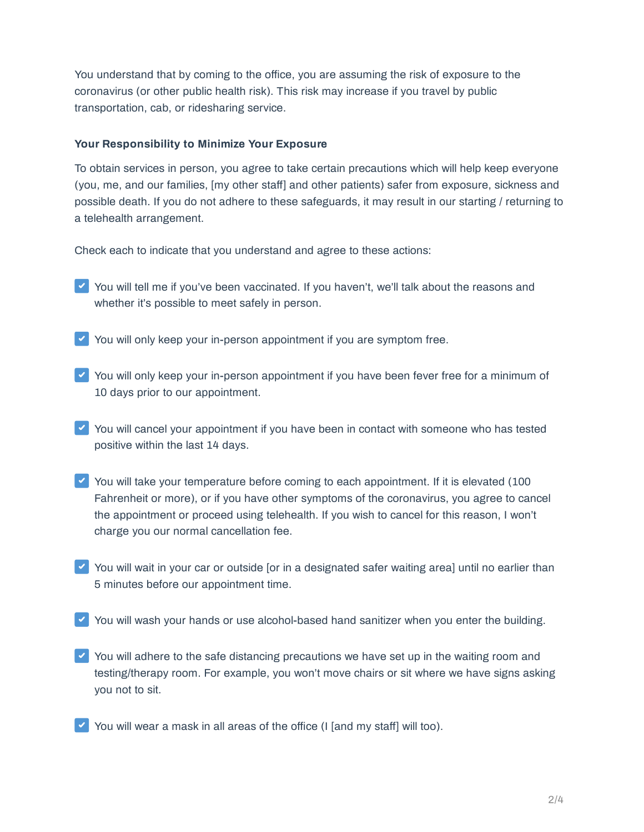You understand that by coming to the office, you are assuming the risk of exposure to the coronavirus (or other public health risk). This risk may increase if you travel by public transportation, cab, or ridesharing service.

#### **Your Responsibility to Minimize Your Exposure**

To obtain services in person, you agree to take certain precautions which will help keep everyone (you, me, and our families, [my other staff] and other patients) safer from exposure, sickness and possible death. If you do not adhere to these safeguards, it may result in our starting / returning to a telehealth arrangement.

Check each to indicate that you understand and agree to these actions:

- $\vee$  You will tell me if you've been vaccinated. If you haven't, we'll talk about the reasons and whether it's possible to meet safely in person.
- $\vee$  You will only keep your in-person appointment if you are symptom free.
- Y You will only keep your in-person appointment if you have been fever free for a minimum of 10 days prior to our appointment.
- Y You will cancel your appointment if you have been in contact with someone who has tested positive within the last 14 days.
- $\vee$  You will take your temperature before coming to each appointment. If it is elevated (100 Fahrenheit or more), or if you have other symptoms of the coronavirus, you agree to cancel the appointment or proceed using telehealth. If you wish to cancel for this reason, I won't charge you our normal cancellation fee.
- $\vee$  You will wait in your car or outside [or in a designated safer waiting area] until no earlier than 5 minutes before our appointment time.
- $\vee$  You will wash your hands or use alcohol-based hand sanitizer when you enter the building.
- $\vee$  You will adhere to the safe distancing precautions we have set up in the waiting room and testing/therapy room. For example, you won't move chairs or sit where we have signs asking you not to sit.
- $\vee$  You will wear a mask in all areas of the office (I [and my staff] will too).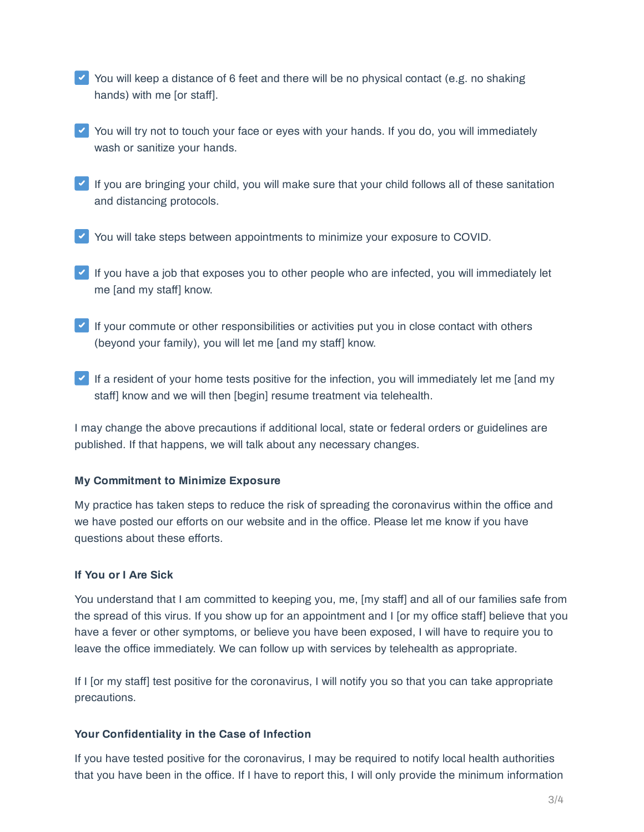- Y You will keep a distance of 6 feet and there will be no physical contact (e.g. no shaking hands) with me [or staff].
- Y You will try not to touch your face or eyes with your hands. If you do, you will immediately wash or sanitize your hands.
- $\leq$  If you are bringing your child, you will make sure that your child follows all of these sanitation and distancing protocols.
- Y You will take steps between appointments to minimize your exposure to COVID.
- $\vee$  If you have a job that exposes you to other people who are infected, you will immediately let me [and my staff] know.
- $\blacktriangleright$  If your commute or other responsibilities or activities put you in close contact with others (beyond your family), you will let me [and my staff] know.
- $\vee$  If a resident of your home tests positive for the infection, you will immediately let me [and my staff] know and we will then [begin] resume treatment via telehealth.

I may change the above precautions if additional local, state or federal orders or guidelines are published. If that happens, we will talk about any necessary changes.

# **My Commitment to Minimize Exposure**

My practice has taken steps to reduce the risk of spreading the coronavirus within the office and we have posted our efforts on our website and in the office. Please let me know if you have questions about these efforts.

# **If You or I Are Sick**

You understand that I am committed to keeping you, me, [my staff] and all of our families safe from the spread of this virus. If you show up for an appointment and I [or my office staff] believe that you have a fever or other symptoms, or believe you have been exposed, I will have to require you to leave the office immediately. We can follow up with services by telehealth as appropriate.

If I [or my staff] test positive for the coronavirus, I will notify you so that you can take appropriate precautions.

#### **Your Confidentiality in the Case of Infection**

If you have tested positive for the coronavirus, I may be required to notify local health authorities that you have been in the office. If I have to report this, I will only provide the minimum information